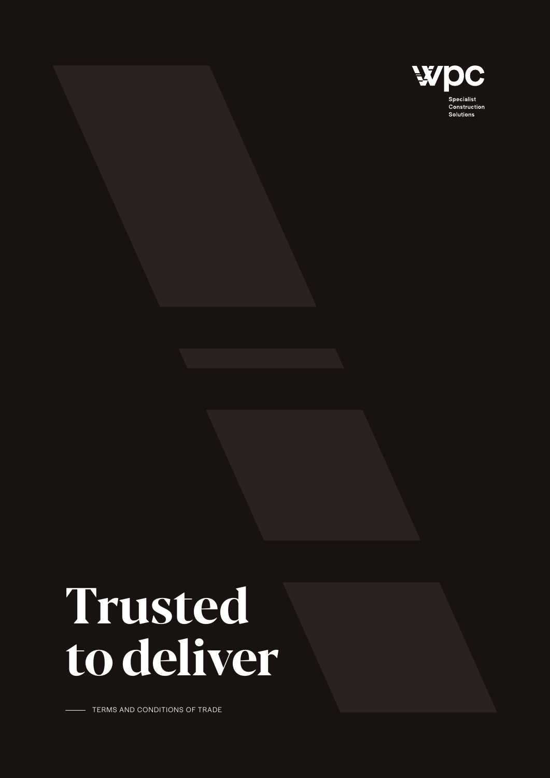

# Trusted to deliver

TERMS AND CONDITIONS OF TRADE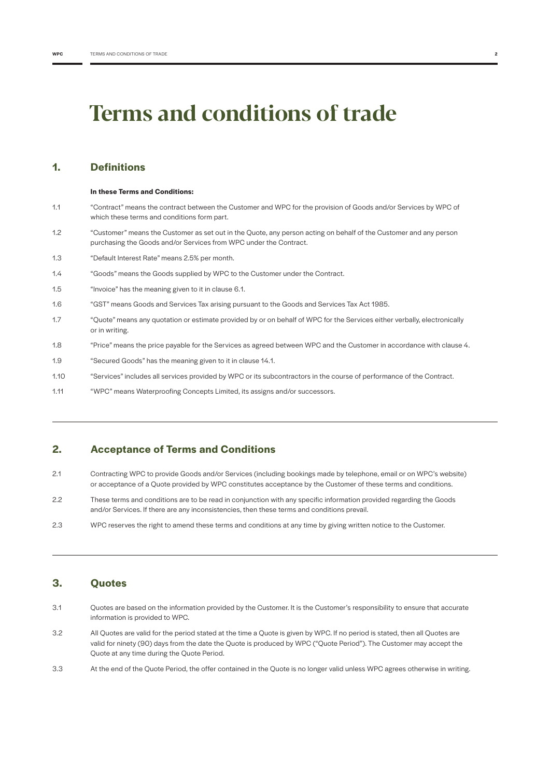# Terms and conditions of trade

# **1. Definitions**

|     | In these Terms and Conditions:                                                                                                                                                         |
|-----|----------------------------------------------------------------------------------------------------------------------------------------------------------------------------------------|
| 1.1 | "Contract" means the contract between the Customer and WPC for the provision of Goods and/or Services by WPC of<br>which these terms and conditions form part.                         |
| 1.2 | "Customer" means the Customer as set out in the Quote, any person acting on behalf of the Customer and any person<br>purchasing the Goods and/or Services from WPC under the Contract. |
| 1.3 | "Default Interest Rate" means 2.5% per month.                                                                                                                                          |
| 1.4 | "Goods" means the Goods supplied by WPC to the Customer under the Contract.                                                                                                            |
| 1.5 | "Invoice" has the meaning given to it in clause 6.1.                                                                                                                                   |
| 1.6 | "GST" means Goods and Services Tax arising pursuant to the Goods and Services Tax Act 1985.                                                                                            |
| 1.7 | "Quote" means any quotation or estimate provided by or on behalf of WPC for the Services either verbally, electronically<br>or in writing.                                             |
| 1.8 | "Price" means the price payable for the Services as agreed between WPC and the Customer in accordance with clause 4                                                                    |

- 1.9 "Secured Goods" has the meaning given to it in clause 14.1.
- 1.10 "Services" includes all services provided by WPC or its subcontractors in the course of performance of the Contract.
- 1.11 "WPC" means Waterproofing Concepts Limited, its assigns and/or successors.

# **2. Acceptance of Terms and Conditions**

- 2.1 Contracting WPC to provide Goods and/or Services (including bookings made by telephone, email or on WPC's website) or acceptance of a Quote provided by WPC constitutes acceptance by the Customer of these terms and conditions.
- 2.2 These terms and conditions are to be read in conjunction with any specific information provided regarding the Goods and/or Services. If there are any inconsistencies, then these terms and conditions prevail.
- 2.3 WPC reserves the right to amend these terms and conditions at any time by giving written notice to the Customer.

# **3. Quotes**

- 3.1 Quotes are based on the information provided by the Customer. It is the Customer's responsibility to ensure that accurate information is provided to WPC.
- 3.2 All Quotes are valid for the period stated at the time a Quote is given by WPC. If no period is stated, then all Quotes are valid for ninety (90) days from the date the Quote is produced by WPC ("Quote Period"). The Customer may accept the Quote at any time during the Quote Period.
- 3.3 At the end of the Quote Period, the offer contained in the Quote is no longer valid unless WPC agrees otherwise in writing.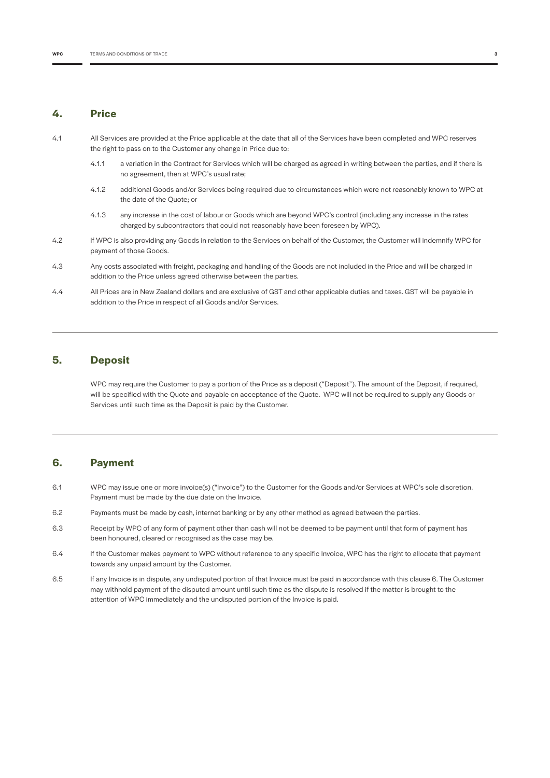#### **4. Price**

- 4.1 All Services are provided at the Price applicable at the date that all of the Services have been completed and WPC reserves the right to pass on to the Customer any change in Price due to:
	- 4.1.1 a variation in the Contract for Services which will be charged as agreed in writing between the parties, and if there is no agreement, then at WPC's usual rate;
	- 4.1.2 additional Goods and/or Services being required due to circumstances which were not reasonably known to WPC at the date of the Quote; or
	- 4.1.3 any increase in the cost of labour or Goods which are beyond WPC's control (including any increase in the rates charged by subcontractors that could not reasonably have been foreseen by WPC).
- 4.2 If WPC is also providing any Goods in relation to the Services on behalf of the Customer, the Customer will indemnify WPC for payment of those Goods.
- 4.3 Any costs associated with freight, packaging and handling of the Goods are not included in the Price and will be charged in addition to the Price unless agreed otherwise between the parties.
- 4.4 All Prices are in New Zealand dollars and are exclusive of GST and other applicable duties and taxes. GST will be payable in addition to the Price in respect of all Goods and/or Services.

# **5. Deposit**

WPC may require the Customer to pay a portion of the Price as a deposit ("Deposit"). The amount of the Deposit, if required, will be specified with the Quote and payable on acceptance of the Quote. WPC will not be required to supply any Goods or Services until such time as the Deposit is paid by the Customer.

# **6. Payment**

- 6.1 WPC may issue one or more invoice(s) ("Invoice") to the Customer for the Goods and/or Services at WPC's sole discretion. Payment must be made by the due date on the Invoice.
- 6.2 Payments must be made by cash, internet banking or by any other method as agreed between the parties.
- 6.3 Receipt by WPC of any form of payment other than cash will not be deemed to be payment until that form of payment has been honoured, cleared or recognised as the case may be.
- 6.4 If the Customer makes payment to WPC without reference to any specific Invoice, WPC has the right to allocate that payment towards any unpaid amount by the Customer.
- 6.5 If any Invoice is in dispute, any undisputed portion of that Invoice must be paid in accordance with this clause 6. The Customer may withhold payment of the disputed amount until such time as the dispute is resolved if the matter is brought to the attention of WPC immediately and the undisputed portion of the Invoice is paid.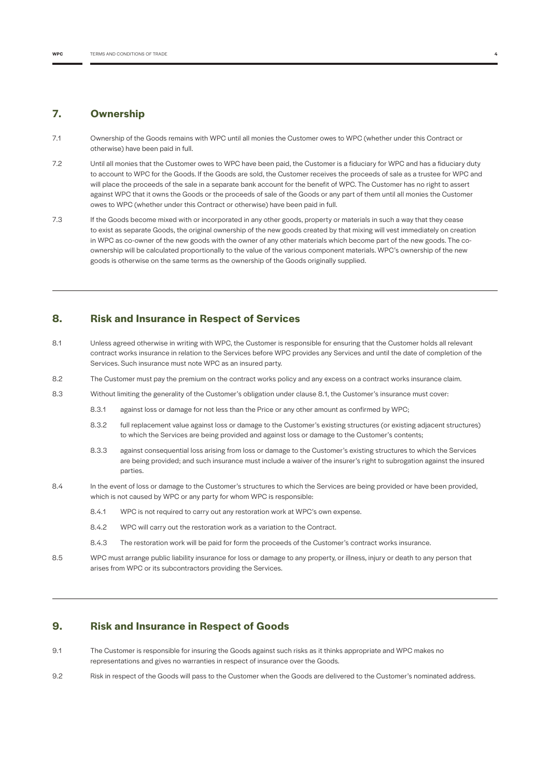#### **7. Ownership**

- 7.1 Ownership of the Goods remains with WPC until all monies the Customer owes to WPC (whether under this Contract or otherwise) have been paid in full.
- 7.2 Until all monies that the Customer owes to WPC have been paid, the Customer is a fiduciary for WPC and has a fiduciary duty to account to WPC for the Goods. If the Goods are sold, the Customer receives the proceeds of sale as a trustee for WPC and will place the proceeds of the sale in a separate bank account for the benefit of WPC. The Customer has no right to assert against WPC that it owns the Goods or the proceeds of sale of the Goods or any part of them until all monies the Customer owes to WPC (whether under this Contract or otherwise) have been paid in full.
- 7.3 If the Goods become mixed with or incorporated in any other goods, property or materials in such a way that they cease to exist as separate Goods, the original ownership of the new goods created by that mixing will vest immediately on creation in WPC as co-owner of the new goods with the owner of any other materials which become part of the new goods. The coownership will be calculated proportionally to the value of the various component materials. WPC's ownership of the new goods is otherwise on the same terms as the ownership of the Goods originally supplied.

# **8. Risk and Insurance in Respect of Services**

- 8.1 Unless agreed otherwise in writing with WPC, the Customer is responsible for ensuring that the Customer holds all relevant contract works insurance in relation to the Services before WPC provides any Services and until the date of completion of the Services. Such insurance must note WPC as an insured party.
- 8.2 The Customer must pay the premium on the contract works policy and any excess on a contract works insurance claim.
- 8.3 Without limiting the generality of the Customer's obligation under clause 8.1, the Customer's insurance must cover:
	- 8.3.1 against loss or damage for not less than the Price or any other amount as confirmed by WPC;
	- 8.3.2 full replacement value against loss or damage to the Customer's existing structures (or existing adjacent structures) to which the Services are being provided and against loss or damage to the Customer's contents;
	- 8.3.3 against consequential loss arising from loss or damage to the Customer's existing structures to which the Services are being provided; and such insurance must include a waiver of the insurer's right to subrogation against the insured parties.
- 8.4 In the event of loss or damage to the Customer's structures to which the Services are being provided or have been provided, which is not caused by WPC or any party for whom WPC is responsible:
	- 8.4.1 WPC is not required to carry out any restoration work at WPC's own expense.
	- 8.4.2 WPC will carry out the restoration work as a variation to the Contract.
	- 8.4.3 The restoration work will be paid for form the proceeds of the Customer's contract works insurance.
- 8.5 WPC must arrange public liability insurance for loss or damage to any property, or illness, injury or death to any person that arises from WPC or its subcontractors providing the Services.

# **9. Risk and Insurance in Respect of Goods**

- 9.1 The Customer is responsible for insuring the Goods against such risks as it thinks appropriate and WPC makes no representations and gives no warranties in respect of insurance over the Goods.
- 9.2 Risk in respect of the Goods will pass to the Customer when the Goods are delivered to the Customer's nominated address.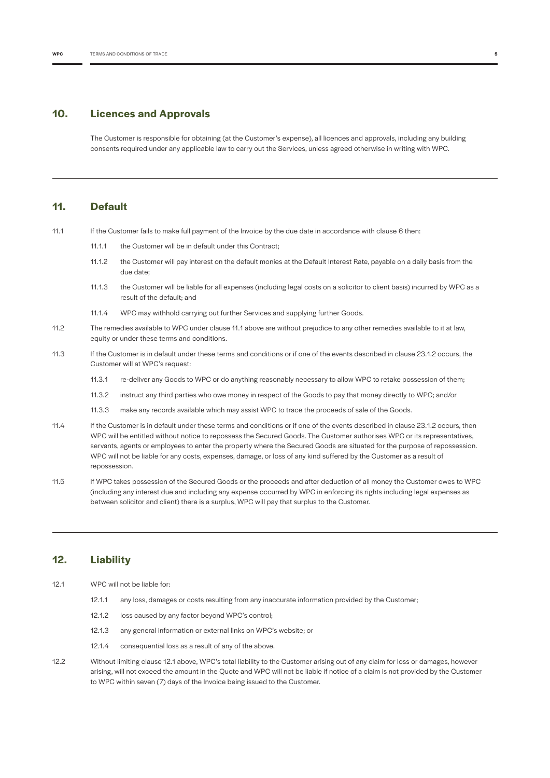#### **10. Licences and Approvals**

The Customer is responsible for obtaining (at the Customer's expense), all licences and approvals, including any building consents required under any applicable law to carry out the Services, unless agreed otherwise in writing with WPC.

#### **11. Default**

11.1 If the Customer fails to make full payment of the Invoice by the due date in accordance with clause 6 then:

- 11.1.1 the Customer will be in default under this Contract;
- 11.1.2 the Customer will pay interest on the default monies at the Default Interest Rate, payable on a daily basis from the due date;
- 11.1.3 the Customer will be liable for all expenses (including legal costs on a solicitor to client basis) incurred by WPC as a result of the default; and
- 11.1.4 WPC may withhold carrying out further Services and supplying further Goods.
- 11.2 The remedies available to WPC under clause 11.1 above are without prejudice to any other remedies available to it at law, equity or under these terms and conditions.
- 11.3 If the Customer is in default under these terms and conditions or if one of the events described in clause 23.1.2 occurs, the Customer will at WPC's request:
	- 11.3.1 re-deliver any Goods to WPC or do anything reasonably necessary to allow WPC to retake possession of them;
	- 11.3.2 instruct any third parties who owe money in respect of the Goods to pay that money directly to WPC; and/or
	- 11.3.3 make any records available which may assist WPC to trace the proceeds of sale of the Goods.
- 11.4 If the Customer is in default under these terms and conditions or if one of the events described in clause 23.1.2 occurs, then WPC will be entitled without notice to repossess the Secured Goods. The Customer authorises WPC or its representatives, servants, agents or employees to enter the property where the Secured Goods are situated for the purpose of repossession. WPC will not be liable for any costs, expenses, damage, or loss of any kind suffered by the Customer as a result of repossession.
- 11.5 If WPC takes possession of the Secured Goods or the proceeds and after deduction of all money the Customer owes to WPC (including any interest due and including any expense occurred by WPC in enforcing its rights including legal expenses as between solicitor and client) there is a surplus, WPC will pay that surplus to the Customer.

# **12. Liability**

- 12.1 WPC will not be liable for:
	- 12.1.1 any loss, damages or costs resulting from any inaccurate information provided by the Customer;
	- 12.1.2 loss caused by any factor beyond WPC's control;
	- 12.1.3 any general information or external links on WPC's website; or
	- 12.1.4 consequential loss as a result of any of the above.
- 12.2 Without limiting clause 12.1 above, WPC's total liability to the Customer arising out of any claim for loss or damages, however arising, will not exceed the amount in the Quote and WPC will not be liable if notice of a claim is not provided by the Customer to WPC within seven (7) days of the Invoice being issued to the Customer.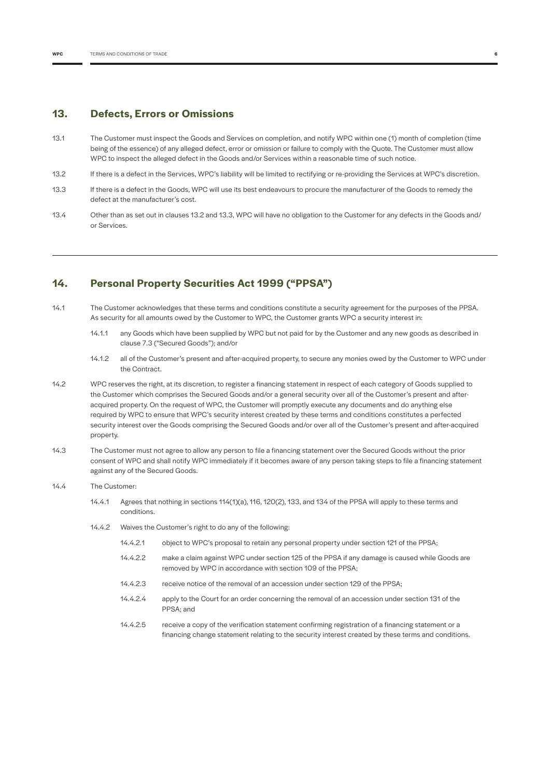#### **13. Defects, Errors or Omissions**

- 13.1 The Customer must inspect the Goods and Services on completion, and notify WPC within one (1) month of completion (time being of the essence) of any alleged defect, error or omission or failure to comply with the Quote. The Customer must allow WPC to inspect the alleged defect in the Goods and/or Services within a reasonable time of such notice.
- 13.2 If there is a defect in the Services, WPC's liability will be limited to rectifying or re-providing the Services at WPC's discretion.
- 13.3 If there is a defect in the Goods, WPC will use its best endeavours to procure the manufacturer of the Goods to remedy the defect at the manufacturer's cost.
- 13.4 Other than as set out in clauses 13.2 and 13.3, WPC will have no obligation to the Customer for any defects in the Goods and/ or Services.

#### **14. Personal Property Securities Act 1999 ("PPSA")**

- 14.1 The Customer acknowledges that these terms and conditions constitute a security agreement for the purposes of the PPSA. As security for all amounts owed by the Customer to WPC, the Customer grants WPC a security interest in:
	- 14.1.1 any Goods which have been supplied by WPC but not paid for by the Customer and any new goods as described in clause 7.3 ("Secured Goods"); and/or
	- 14.1.2 all of the Customer's present and after-acquired property, to secure any monies owed by the Customer to WPC under the Contract.
- 14.2 WPC reserves the right, at its discretion, to register a financing statement in respect of each category of Goods supplied to the Customer which comprises the Secured Goods and/or a general security over all of the Customer's present and afteracquired property. On the request of WPC, the Customer will promptly execute any documents and do anything else required by WPC to ensure that WPC's security interest created by these terms and conditions constitutes a perfected security interest over the Goods comprising the Secured Goods and/or over all of the Customer's present and after-acquired property.
- 14.3 The Customer must not agree to allow any person to file a financing statement over the Secured Goods without the prior consent of WPC and shall notify WPC immediately if it becomes aware of any person taking steps to file a financing statement against any of the Secured Goods.
- 14.4 The Customer:
	- 14.4.1 Agrees that nothing in sections 114(1)(a), 116, 120(2), 133, and 134 of the PPSA will apply to these terms and conditions.
	- 14.4.2 Waives the Customer's right to do any of the following:
		- 14.4.2.1 object to WPC's proposal to retain any personal property under section 121 of the PPSA;
		- 14.4.2.2 make a claim against WPC under section 125 of the PPSA if any damage is caused while Goods are removed by WPC in accordance with section 109 of the PPSA;
		- 14.4.2.3 receive notice of the removal of an accession under section 129 of the PPSA;
		- 14.4.2.4 apply to the Court for an order concerning the removal of an accession under section 131 of the PPSA; and
		- 14.4.2.5 receive a copy of the verification statement confirming registration of a financing statement or a financing change statement relating to the security interest created by these terms and conditions.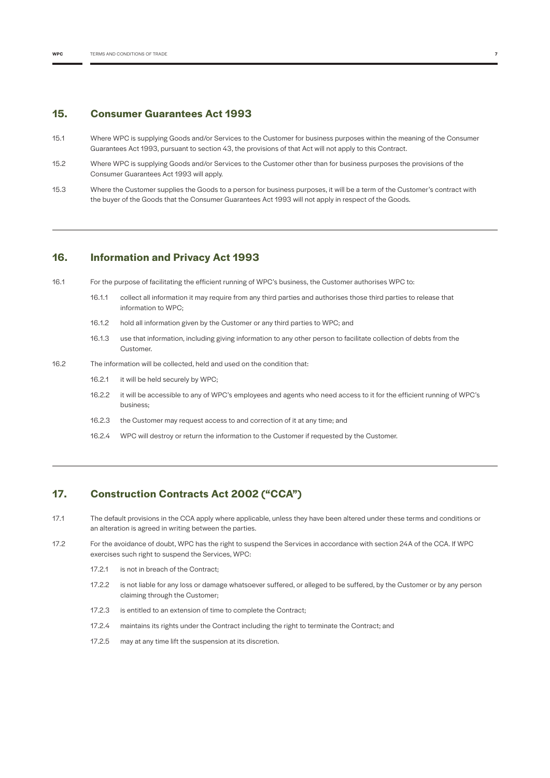#### **15. Consumer Guarantees Act 1993**

- 15.1 Where WPC is supplying Goods and/or Services to the Customer for business purposes within the meaning of the Consumer Guarantees Act 1993, pursuant to section 43, the provisions of that Act will not apply to this Contract.
- 15.2 Where WPC is supplying Goods and/or Services to the Customer other than for business purposes the provisions of the Consumer Guarantees Act 1993 will apply.
- 15.3 Where the Customer supplies the Goods to a person for business purposes, it will be a term of the Customer's contract with the buyer of the Goods that the Consumer Guarantees Act 1993 will not apply in respect of the Goods.

# **16. Information and Privacy Act 1993**

- 16.1 For the purpose of facilitating the efficient running of WPC's business, the Customer authorises WPC to:
	- 16.1.1 collect all information it may require from any third parties and authorises those third parties to release that information to WPC;
	- 16.1.2 hold all information given by the Customer or any third parties to WPC; and
	- 16.1.3 use that information, including giving information to any other person to facilitate collection of debts from the Customer.
- 16.2 The information will be collected, held and used on the condition that:
	- 16.2.1 it will be held securely by WPC;
	- 16.2.2 it will be accessible to any of WPC's employees and agents who need access to it for the efficient running of WPC's business;
	- 16.2.3 the Customer may request access to and correction of it at any time; and
	- 16.2.4 WPC will destroy or return the information to the Customer if requested by the Customer.

# **17. Construction Contracts Act 2002 ("CCA")**

- 17.1 The default provisions in the CCA apply where applicable, unless they have been altered under these terms and conditions or an alteration is agreed in writing between the parties.
- 17.2 For the avoidance of doubt, WPC has the right to suspend the Services in accordance with section 24A of the CCA. If WPC exercises such right to suspend the Services, WPC:
	- 17.2.1 is not in breach of the Contract;
	- 17.2.2 is not liable for any loss or damage whatsoever suffered, or alleged to be suffered, by the Customer or by any person claiming through the Customer;
	- 17.2.3 is entitled to an extension of time to complete the Contract;
	- 17.2.4 maintains its rights under the Contract including the right to terminate the Contract; and
	- 17.2.5 may at any time lift the suspension at its discretion.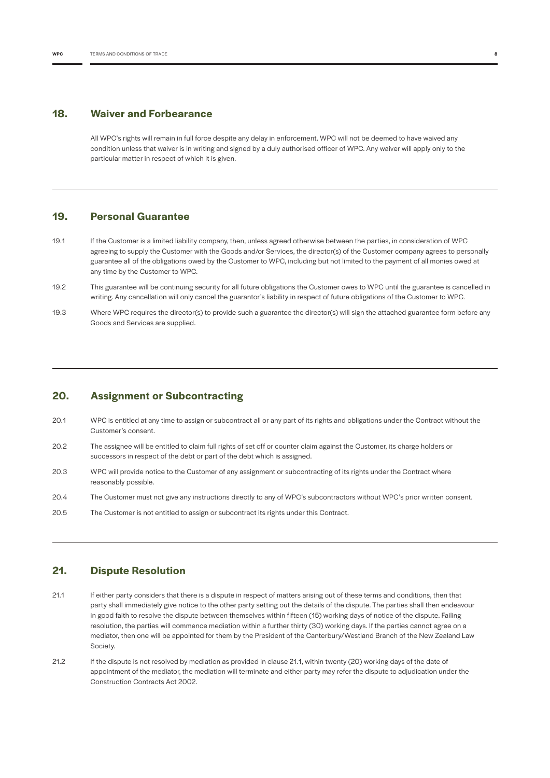#### **18. Waiver and Forbearance**

All WPC's rights will remain in full force despite any delay in enforcement. WPC will not be deemed to have waived any condition unless that waiver is in writing and signed by a duly authorised officer of WPC. Any waiver will apply only to the particular matter in respect of which it is given.

# **19. Personal Guarantee**

- 19.1 If the Customer is a limited liability company, then, unless agreed otherwise between the parties, in consideration of WPC agreeing to supply the Customer with the Goods and/or Services, the director(s) of the Customer company agrees to personally guarantee all of the obligations owed by the Customer to WPC, including but not limited to the payment of all monies owed at any time by the Customer to WPC.
- 19.2 This guarantee will be continuing security for all future obligations the Customer owes to WPC until the guarantee is cancelled in writing. Any cancellation will only cancel the guarantor's liability in respect of future obligations of the Customer to WPC.
- 19.3 Where WPC requires the director(s) to provide such a guarantee the director(s) will sign the attached guarantee form before any Goods and Services are supplied.

# **20. Assignment or Subcontracting**

- 20.1 WPC is entitled at any time to assign or subcontract all or any part of its rights and obligations under the Contract without the Customer's consent.
- 20.2 The assignee will be entitled to claim full rights of set off or counter claim against the Customer, its charge holders or successors in respect of the debt or part of the debt which is assigned.
- 20.3 WPC will provide notice to the Customer of any assignment or subcontracting of its rights under the Contract where reasonably possible.
- 20.4 The Customer must not give any instructions directly to any of WPC's subcontractors without WPC's prior written consent.
- 20.5 The Customer is not entitled to assign or subcontract its rights under this Contract.

# **21. Dispute Resolution**

- 21.1 If either party considers that there is a dispute in respect of matters arising out of these terms and conditions, then that party shall immediately give notice to the other party setting out the details of the dispute. The parties shall then endeavour in good faith to resolve the dispute between themselves within fifteen (15) working days of notice of the dispute. Failing resolution, the parties will commence mediation within a further thirty (30) working days. If the parties cannot agree on a mediator, then one will be appointed for them by the President of the Canterbury/Westland Branch of the New Zealand Law Society.
- 21.2 If the dispute is not resolved by mediation as provided in clause 21.1, within twenty (20) working days of the date of appointment of the mediator, the mediation will terminate and either party may refer the dispute to adjudication under the Construction Contracts Act 2002.